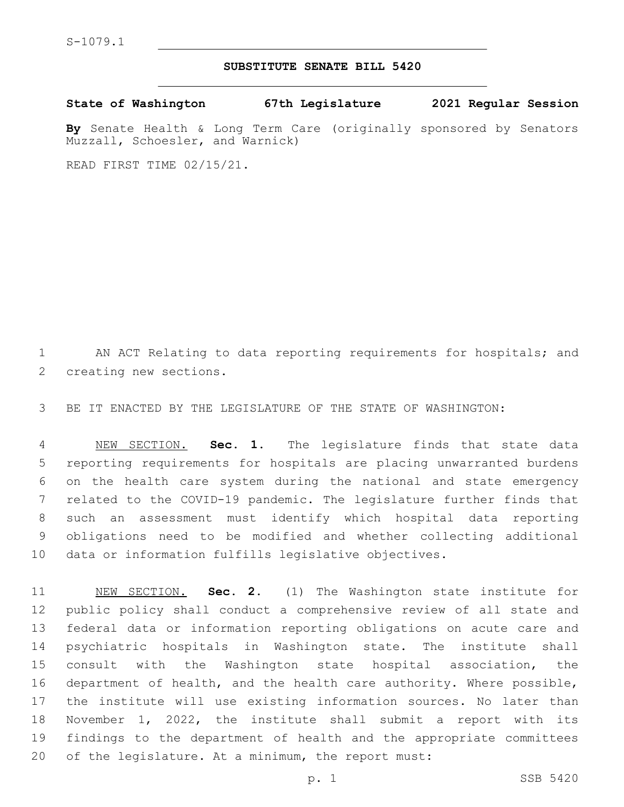## **SUBSTITUTE SENATE BILL 5420**

**State of Washington 67th Legislature 2021 Regular Session**

**By** Senate Health & Long Term Care (originally sponsored by Senators Muzzall, Schoesler, and Warnick)

READ FIRST TIME 02/15/21.

1 AN ACT Relating to data reporting requirements for hospitals; and 2 creating new sections.

BE IT ENACTED BY THE LEGISLATURE OF THE STATE OF WASHINGTON:

 NEW SECTION. **Sec. 1.** The legislature finds that state data reporting requirements for hospitals are placing unwarranted burdens on the health care system during the national and state emergency related to the COVID-19 pandemic. The legislature further finds that such an assessment must identify which hospital data reporting obligations need to be modified and whether collecting additional data or information fulfills legislative objectives.

 NEW SECTION. **Sec. 2.** (1) The Washington state institute for public policy shall conduct a comprehensive review of all state and federal data or information reporting obligations on acute care and psychiatric hospitals in Washington state. The institute shall consult with the Washington state hospital association, the department of health, and the health care authority. Where possible, the institute will use existing information sources. No later than November 1, 2022, the institute shall submit a report with its findings to the department of health and the appropriate committees of the legislature. At a minimum, the report must: